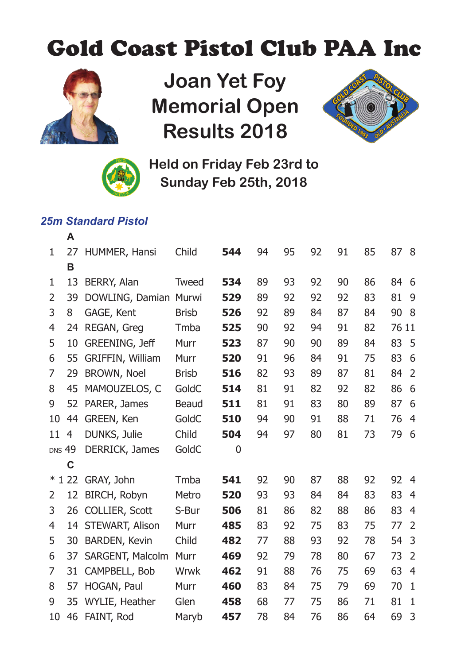## Gold Coast Pistol Club PAA Inc



**Joan Yet Foy Memorial Open Results 2018**





**Held on Friday Feb 23rd to Sunday Feb 25th, 2018**

## *25m Standard Pistol*

|               | А  |                      |              |     |    |    |    |    |    |       |                |
|---------------|----|----------------------|--------------|-----|----|----|----|----|----|-------|----------------|
| $\mathbf{1}$  | 27 | HUMMER, Hansi        | Child        | 544 | 94 | 95 | 92 | 91 | 85 | 87    | - 8            |
|               | в  |                      |              |     |    |    |    |    |    |       |                |
| 1             | 13 | BERRY, Alan          | Tweed        | 534 | 89 | 93 | 92 | 90 | 86 | 84    | - 6            |
| 2             | 39 | DOWLING, Damian      | Murwi        | 529 | 89 | 92 | 92 | 92 | 83 | 81    | 9              |
| 3             | 8  | GAGE, Kent           | <b>Brisb</b> | 526 | 92 | 89 | 84 | 87 | 84 | 90    | -8             |
| 4             | 24 | REGAN, Greg          | Tmba         | 525 | 90 | 92 | 94 | 91 | 82 | 76 11 |                |
| 5             | 10 | GREENING, Jeff       | Murr         | 523 | 87 | 90 | 90 | 89 | 84 | 83    | -5             |
| 6             | 55 | GRIFFIN, William     | Murr         | 520 | 91 | 96 | 84 | 91 | 75 | 83    | 6              |
| 7             | 29 | BROWN, Noel          | <b>Brisb</b> | 516 | 82 | 93 | 89 | 87 | 81 | 84    | $\overline{2}$ |
| 8             | 45 | MAMOUZELOS, C        | GoldC        | 514 | 81 | 91 | 82 | 92 | 82 | 86    | 6              |
| 9             | 52 | PARER, James         | Beaud        | 511 | 81 | 91 | 83 | 80 | 89 | 87    | 6              |
| 10            | 44 | GREEN, Ken           | GoldC        | 510 | 94 | 90 | 91 | 88 | 71 | 76    | 4              |
| 11            | 4  | DUNKS, Julie         | Child        | 504 | 94 | 97 | 80 | 81 | 73 | 79    | 6              |
| <b>DNS 49</b> |    | DERRICK, James       | GoldC        | 0   |    |    |    |    |    |       |                |
|               | C  |                      |              |     |    |    |    |    |    |       |                |
| $*122$        |    | GRAY, John           | Tmba         | 541 | 92 | 90 | 87 | 88 | 92 | 92    | 4              |
| 2             | 12 | BIRCH, Robyn         | Metro        | 520 | 93 | 93 | 84 | 84 | 83 | 83    | 4              |
| 3             | 26 | COLLIER, Scott       | S-Bur        | 506 | 81 | 86 | 82 | 88 | 86 | 83    | 4              |
| 4             |    | 14 STEWART, Alison   | Murr         | 485 | 83 | 92 | 75 | 83 | 75 | 77    | $\overline{2}$ |
| 5             | 30 | <b>BARDEN, Kevin</b> | Child        | 482 | 77 | 88 | 93 | 92 | 78 | 54    | 3              |
| 6             | 37 | SARGENT, Malcolm     | Murr         | 469 | 92 | 79 | 78 | 80 | 67 | 73    | $\overline{2}$ |
| 7             | 31 | CAMPBELL, Bob        | Wrwk         | 462 | 91 | 88 | 76 | 75 | 69 | 63    | $\overline{4}$ |
| 8             | 57 | HOGAN, Paul          | Murr         | 460 | 83 | 84 | 75 | 79 | 69 | 70    | 1              |
| 9             | 35 | WYLIE, Heather       | Glen         | 458 | 68 | 77 | 75 | 86 | 71 | 81    | $\mathbf{1}$   |
| 10            | 46 | FAINT, Rod           | Maryb        | 457 | 78 | 84 | 76 | 86 | 64 | 69    | 3              |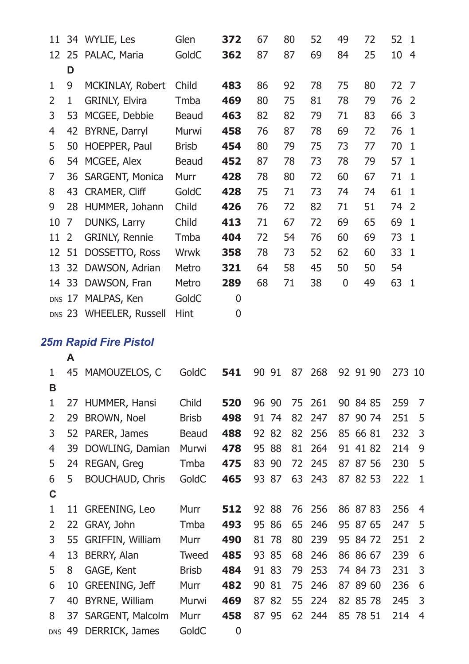|                |              | 11 34 WYLIE, Les             | Glen         | 372 | 67    | 80       | 52  | 49 | 72       | 52  | 1              |
|----------------|--------------|------------------------------|--------------|-----|-------|----------|-----|----|----------|-----|----------------|
|                | 12 25        | PALAC, Maria                 | GoldC        | 362 | 87    | 87       | 69  | 84 | 25       | 10  | $\overline{4}$ |
|                | D            |                              |              |     |       |          |     |    |          |     |                |
| 1              | 9            | MCKINLAY, Robert             | Child        | 483 | 86    | 92       | 78  | 75 | 80       | 72  | 7              |
| 2              | $\mathbf{1}$ | GRINLY, Elvira               | Tmba         | 469 | 80    | 75       | 81  | 78 | 79       | 76  | $\overline{2}$ |
| 3              | 53           | MCGEE, Debbie                | Beaud        | 463 | 82    | 82       | 79  | 71 | 83       | 66  | 3              |
| $\overline{4}$ |              | 42 BYRNE, Darryl             | Murwi        | 458 | 76    | 87       | 78  | 69 | 72       | 76  | $\mathbf{1}$   |
| 5              |              | 50 HOEPPER, Paul             | <b>Brisb</b> | 454 | 80    | 79       | 75  | 73 | 77       | 70  | $\mathbf{1}$   |
| 6              |              | 54 MCGEE, Alex               | Beaud        | 452 | 87    | 78       | 73  | 78 | 79       | 57  | 1              |
| 7              | 36           | SARGENT, Monica              | Murr         | 428 | 78    | 80       | 72  | 60 | 67       | 71  | 1              |
| 8              | 43           | CRAMER, Cliff                | GoldC        | 428 | 75    | 71       | 73  | 74 | 74       | 61  | 1              |
| 9              | 28           | HUMMER, Johann               | Child        | 426 | 76    | 72       | 82  | 71 | 51       | 74  | $\overline{2}$ |
| 10             | 7            | DUNKS, Larry                 | Child        | 413 | 71    | 67       | 72  | 69 | 65       | 69  | 1              |
| 11             | 2            | GRINLY, Rennie               | Tmba         | 404 | 72    | 54       | 76  | 60 | 69       | 73  | $\mathbf{1}$   |
| 12             | 51           | DOSSETTO, Ross               | Wrwk         | 358 | 78    | 73       | 52  | 62 | 60       | 33  | $\mathbf{1}$   |
|                | 13 32        | DAWSON, Adrian               | Metro        | 321 | 64    | 58       | 45  | 50 | 50       | 54  |                |
|                | 14 33        | DAWSON, Fran                 | Metro        | 289 | 68    | 71       | 38  | 0  | 49       | 63  | $\mathbf{1}$   |
|                |              | DNS 17 MALPAS, Ken           | GoldC        | 0   |       |          |     |    |          |     |                |
|                |              | DNS 23 WHEELER, Russell      | Hint         | 0   |       |          |     |    |          |     |                |
|                |              |                              |              |     |       |          |     |    |          |     |                |
|                |              | <b>25m Rapid Fire Pistol</b> |              |     |       |          |     |    |          |     |                |
|                | A            |                              |              |     |       |          |     |    |          |     |                |
| 1<br>B         |              | 45 MAMOUZELOS, C             | GoldC        | 541 | 90 91 | 87       | 268 |    | 92 91 90 |     | 273 10         |
| 1              | 27           | HUMMER, Hansi                | Child        | 520 | 96 90 | 75       | 261 |    | 90 84 85 | 259 | 7              |
| 2              | 29           | BROWN, Noel                  | <b>Brisb</b> | 498 | 91 74 | 82       | 247 |    | 87 90 74 | 251 | 5              |
| 3              |              | 52 PARER, James              | Beaud        | 488 | 92 82 | 82       | 256 |    | 85 66 81 | 232 | 3              |
| $\overline{4}$ | 39           | DOWLING, Damian              | Murwi        | 478 | 95 88 | 81       | 264 |    | 91 41 82 | 214 | 9              |
| 5              |              | 24 REGAN, Greg               | Tmba         | 475 | 83    | 90<br>72 | 245 |    | 87 87 56 | 230 | 5              |
| 6              | 5            | BOUCHAUD, Chris              | GoldC        | 465 | 93 87 | 63       | 243 |    | 87 82 53 | 222 | 1              |
| C              |              |                              |              |     |       |          |     |    |          |     |                |
| 1              | 11           | GREENING, Leo                | Murr         | 512 | 92 88 | 76       | 256 |    | 86 87 83 | 256 | 4              |
| 2              | 22           | GRAY, John                   | Tmba         | 493 | 95 86 | 65       | 246 |    | 95 87 65 | 247 | 5              |
| 3              |              | 55 GRIFFIN, William          | Murr         | 490 | 81 78 | 80       | 239 |    | 95 84 72 | 251 | $\overline{2}$ |
| 4              | 13           | BERRY, Alan                  | Tweed        | 485 | 93 85 | 68       | 246 |    | 86 86 67 | 239 | 6              |
| 5              | 8            | GAGE, Kent                   | <b>Brisb</b> | 484 | 91 83 | 79       | 253 |    | 74 84 73 | 231 | 3              |
| 6              |              | 10 GREENING, Jeff            | Murr         | 482 | 90 81 | 75       | 246 |    | 87 89 60 | 236 | 6              |
| 7              | 40           | BYRNE, William               | Murwi        | 469 | 87 82 | 55       | 224 |    | 82 85 78 | 245 | 3              |
| 8              | 37           | SARGENT, Malcolm             | Murr         | 458 | 87 95 | 62       | 244 |    | 85 78 51 | 214 | 4              |
| <b>DNS</b>     | 49           | DERRICK, James               | GoldC        | 0   |       |          |     |    |          |     |                |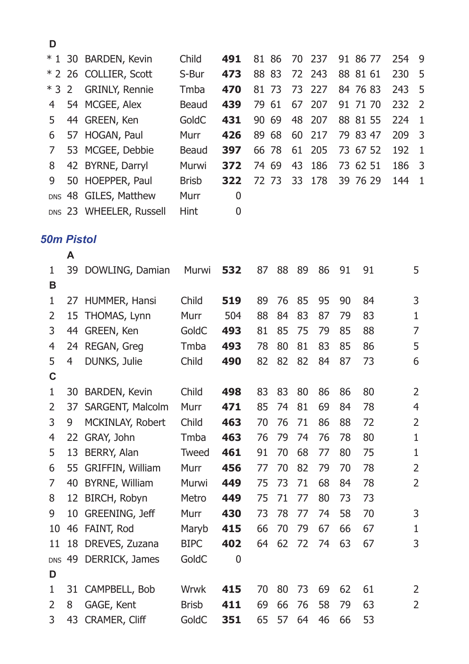| D     |                         |              |     |       |      |              |          |     |                |
|-------|-------------------------|--------------|-----|-------|------|--------------|----------|-----|----------------|
| $*1$  | 30 BARDEN, Kevin        | Child        | 491 | 81 86 | - 70 | 237          | 91 86 77 | 254 | - 9            |
|       | * 2 26 COLLIER, Scott   | S-Bur        | 473 | 88 83 |      | 72 243       | 88 81 61 | 230 | - 5            |
| $*32$ | <b>GRINLY, Rennie</b>   | Tmba         | 470 |       |      | 81 73 73 227 | 84 76 83 | 243 | - 5            |
| 4     | 54 MCGEE, Alex          | Beaud        | 439 | 79 61 |      | 67 207       | 91 71 70 | 232 | $\overline{2}$ |
| 5.    | 44 GREEN, Ken           | GoldC        | 431 | 90 69 |      | 48 207       | 88 81 55 | 224 | $\overline{1}$ |
| 6     | 57 HOGAN, Paul          | Murr         | 426 | 89 68 |      | 60 217       | 79 83 47 | 209 | - 3            |
| 7     | 53 MCGEE, Debbie        | Beaud        | 397 | 66 78 |      | 61 205       | 73 67 52 | 192 | $\overline{1}$ |
| 8     | 42 BYRNE, Darryl        | Murwi        | 372 | 74 69 | 43   | 186          | 73 62 51 | 186 | -3             |
| 9     | 50 HOEPPER, Paul        | <b>Brish</b> | 322 | 72 73 |      | 33 178       | 39 76 29 | 144 | $\overline{1}$ |
|       | DNS 48 GILES, Matthew   | Murr         | 0   |       |      |              |          |     |                |
|       | DNS 23 WHEELER, Russell | Hint         | 0   |       |      |              |          |     |                |

## *50m Pistol*

|               | A  |                      |              |     |    |    |    |    |    |    |                |
|---------------|----|----------------------|--------------|-----|----|----|----|----|----|----|----------------|
| 1<br>в        | 39 | DOWLING, Damian      | Murwi        | 532 | 87 | 88 | 89 | 86 | 91 | 91 | 5              |
| 1             | 27 | HUMMER, Hansi        | Child        | 519 | 89 | 76 | 85 | 95 | 90 | 84 | 3              |
| 2             | 15 | THOMAS, Lynn         | Murr         | 504 | 88 | 84 | 83 | 87 | 79 | 83 | 1              |
| 3             | 44 | GREEN, Ken           | GoldC        | 493 | 81 | 85 | 75 | 79 | 85 | 88 | 7              |
| 4             | 24 | REGAN, Greg          | Tmba         | 493 | 78 | 80 | 81 | 83 | 85 | 86 | 5              |
| 5             | 4  | DUNKS, Julie         | Child        | 490 | 82 | 82 | 82 | 84 | 87 | 73 | 6              |
| C             |    |                      |              |     |    |    |    |    |    |    |                |
| 1             | 30 | <b>BARDEN, Kevin</b> | Child        | 498 | 83 | 83 | 80 | 86 | 86 | 80 | 2              |
| 2             | 37 | SARGENT, Malcolm     | Murr         | 471 | 85 | 74 | 81 | 69 | 84 | 78 | 4              |
| 3             | 9  | MCKINLAY, Robert     | Child        | 463 | 70 | 76 | 71 | 86 | 88 | 72 | 2              |
| 4             | 22 | GRAY, John           | Tmba         | 463 | 76 | 79 | 74 | 76 | 78 | 80 | 1              |
| 5             | 13 | BERRY, Alan          | Tweed        | 461 | 91 | 70 | 68 | 77 | 80 | 75 | 1              |
| 6             | 55 | GRIFFIN, William     | Murr         | 456 | 77 | 70 | 82 | 79 | 70 | 78 | 2              |
| 7             | 40 | BYRNE, William       | Murwi        | 449 | 75 | 73 | 71 | 68 | 84 | 78 | $\overline{2}$ |
| 8             | 12 | BIRCH, Robyn         | Metro        | 449 | 75 | 71 | 77 | 80 | 73 | 73 |                |
| 9             | 10 | GREENING, Jeff       | Murr         | 430 | 73 | 78 | 77 | 74 | 58 | 70 | 3              |
| 10            | 46 | FAINT, Rod           | Maryb        | 415 | 66 | 70 | 79 | 67 | 66 | 67 | 1              |
| 11            | 18 | DREVES, Zuzana       | <b>BIPC</b>  | 402 | 64 | 62 | 72 | 74 | 63 | 67 | 3              |
| <b>DNS</b>    | 49 | DERRICK, James       | GoldC        | 0   |    |    |    |    |    |    |                |
| D             |    |                      |              |     |    |    |    |    |    |    |                |
| 1             | 31 | CAMPBELL, Bob        | Wrwk         | 415 | 70 | 80 | 73 | 69 | 62 | 61 | 2              |
| $\mathcal{P}$ | 8  | GAGE, Kent           | <b>Brisb</b> | 411 | 69 | 66 | 76 | 58 | 79 | 63 | 2              |
| 3             | 43 | <b>CRAMER, Cliff</b> | GoldC        | 351 | 65 | 57 | 64 | 46 | 66 | 53 |                |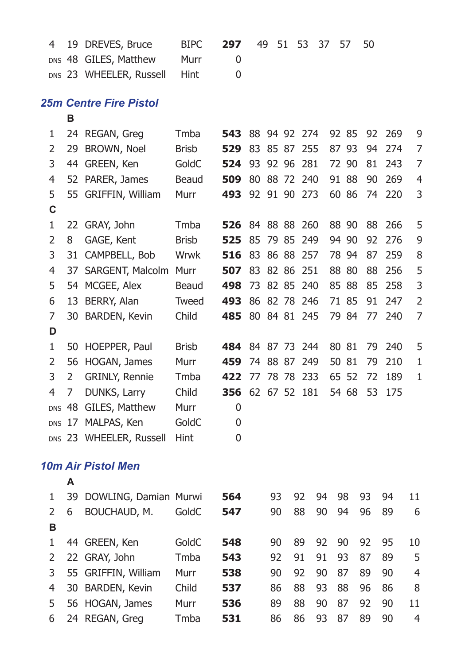| 4           |    | 19 DREVES, Bruce              | <b>BIPC</b>  | 297 | 49 |    | 51       | 53           | 37 | 57    | 50 |     |                |
|-------------|----|-------------------------------|--------------|-----|----|----|----------|--------------|----|-------|----|-----|----------------|
|             |    | DNS 48 GILES, Matthew         | Murr         | 0   |    |    |          |              |    |       |    |     |                |
|             |    | DNS 23 WHEELER, Russell       | Hint         | 0   |    |    |          |              |    |       |    |     |                |
|             |    | <b>25m Centre Fire Pistol</b> |              |     |    |    |          |              |    |       |    |     |                |
|             | в  |                               |              |     |    |    |          |              |    |       |    |     |                |
| 1           |    | 24 REGAN, Greg                | Tmba         | 543 |    |    |          | 88 94 92 274 |    | 92 85 | 92 | 269 | 9              |
| 2           | 29 | BROWN, Noel                   | <b>Brisb</b> | 529 |    |    | 83 85 87 | 255          |    | 87 93 | 94 | 274 | 7              |
| 3           |    | 44 GREEN, Ken                 | GoldC        | 524 |    |    | 93 92 96 | 281          |    | 72 90 | 81 | 243 | 7              |
| 4           |    | 52 PARER, James               | Beaud        | 509 |    |    |          | 80 88 72 240 |    | 91 88 | 90 | 269 | 4              |
| 5           |    | 55 GRIFFIN, William           | Murr         | 493 |    |    |          | 92 91 90 273 |    | 60 86 | 74 | 220 | 3              |
| C           |    |                               |              |     |    |    |          |              |    |       |    |     |                |
| 1           |    | 22 GRAY, John                 | Tmba         | 526 |    |    |          | 84 88 88 260 |    | 88 90 | 88 | 266 | 5              |
| 2           | 8  | GAGE, Kent                    | <b>Brisb</b> | 525 | 85 |    | 79 85    | 249          |    | 94 90 | 92 | 276 | 9              |
| 3           |    | 31 CAMPBELL, Bob              | <b>Wrwk</b>  | 516 | 83 |    | 86 88    | 257          |    | 78 94 | 87 | 259 | 8              |
| 4           |    | 37 SARGENT, Malcolm Murr      |              | 507 |    |    | 83 82 86 | 251          |    | 88 80 | 88 | 256 | 5              |
| 5           |    | 54 MCGEE, Alex                | Beaud        | 498 |    |    |          | 73 82 85 240 |    | 85 88 | 85 | 258 | 3              |
| 6           |    | 13 BERRY, Alan                | Tweed        | 493 |    |    |          | 86 82 78 246 |    | 71 85 | 91 | 247 | 2              |
| 7           |    | 30 BARDEN, Kevin              | Child        | 485 |    |    |          | 80 84 81 245 |    | 79 84 | 77 | 240 | 7              |
| D           |    |                               |              |     |    |    |          |              |    |       |    |     |                |
| 1           |    | 50 HOEPPER, Paul              | <b>Brisb</b> | 484 |    |    |          | 84 87 73 244 |    | 80 81 | 79 | 240 | 5              |
| 2           | 56 | HOGAN, James                  | Murr         | 459 |    |    | 74 88 87 | 249          |    | 50 81 | 79 | 210 | 1              |
| 3           | 2  | <b>GRINLY, Rennie</b>         | Tmba         | 422 |    |    |          | 77 78 78 233 |    | 65 52 | 72 | 189 | 1              |
| 4           | 7  | DUNKS, Larry                  | Child        | 356 |    |    |          | 62 67 52 181 |    | 54 68 | 53 | 175 |                |
|             |    | DNS 48 GILES, Matthew         | Murr         | 0   |    |    |          |              |    |       |    |     |                |
|             |    | DNS 17 MALPAS, Ken            | GoldC        | 0   |    |    |          |              |    |       |    |     |                |
|             |    | DNS 23 WHEELER, Russell       | Hint         | 0   |    |    |          |              |    |       |    |     |                |
|             |    | 10m Air Pistol Men            |              |     |    |    |          |              |    |       |    |     |                |
|             | A  |                               |              |     |    |    |          |              |    |       |    |     |                |
| 1           | 39 | DOWLING, Damian Murwi         |              | 564 |    | 93 |          | 92           | 94 | 98    | 93 | 94  | 11             |
| 2           | 6  | BOUCHAUD, M.                  | GoldC        | 547 |    | 90 |          | 88           | 90 | 94    | 96 | 89  | 6              |
| в           |    |                               |              |     |    |    |          |              |    |       |    |     |                |
| $\mathbf 1$ |    | 44 GREEN, Ken                 | GoldC        | 548 |    | 90 |          | 89           | 92 | 90    | 92 | 95  | 10             |
| 2           |    | 22 GRAY, John                 | Tmba         | 543 |    | 92 |          | 91           | 91 | 93    | 87 | 89  | 5              |
| 3           |    | 55 GRIFFIN, William           | Murr         | 538 |    | 90 |          | 92           | 90 | 87    | 89 | 90  | $\overline{4}$ |
| 4           | 30 | <b>BARDEN, Kevin</b>          | Child        | 537 |    | 86 |          | 88           | 93 | 88    | 96 | 86  | 8              |
| 5           |    | 56 HOGAN, James               | Murr         | 536 |    | 89 |          | 88           | 90 | 87    | 92 | 90  | 11             |
| 6           |    | 24 REGAN, Greg                | Tmba         | 531 |    | 86 |          | 86           | 93 | 87    | 89 | 90  | $\overline{4}$ |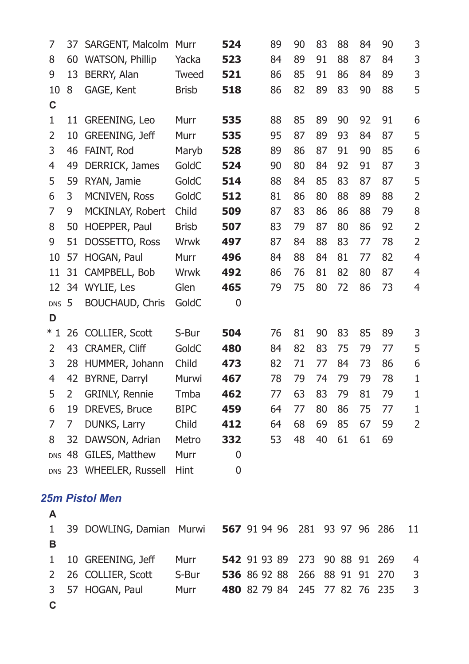| 7              | 37             | SARGENT, Malcolm        | Murr         | 524              |              | 89           | 90  | 83 | 88       | 84 | 90  | 3              |
|----------------|----------------|-------------------------|--------------|------------------|--------------|--------------|-----|----|----------|----|-----|----------------|
| 8              | 60             | WATSON, Phillip         | Yacka        | 523              |              | 84           | 89  | 91 | 88       | 87 | 84  | 3              |
| 9              | 13             | BERRY, Alan             | Tweed        | 521              |              | 86           | 85  | 91 | 86       | 84 | 89  | 3              |
| 10             | 8              | GAGE, Kent              | <b>Brisb</b> | 518              |              | 86           | 82  | 89 | 83       | 90 | 88  | 5              |
| C              |                |                         |              |                  |              |              |     |    |          |    |     |                |
| $\mathbf 1$    |                | 11 GREENING, Leo        | Murr         | 535              |              | 88           | 85  | 89 | 90       | 92 | 91  | 6              |
| $\overline{2}$ |                | 10 GREENING, Jeff       | Murr         | 535              |              | 95           | 87  | 89 | 93       | 84 | 87  | 5              |
| 3              |                | 46 FAINT, Rod           | Maryb        | 528              |              | 89           | 86  | 87 | 91       | 90 | 85  | 6              |
| $\overline{4}$ | 49             | DERRICK, James          | GoldC        | 524              |              | 90           | 80  | 84 | 92       | 91 | 87  | 3              |
| 5              | 59             | RYAN, Jamie             | GoldC        | 514              |              | 88           | 84  | 85 | 83       | 87 | 87  | 5              |
| 6              | 3              | MCNIVEN, Ross           | GoldC        | 512              |              | 81           | 86  | 80 | 88       | 89 | 88  | $\overline{c}$ |
| 7              | 9              | MCKINLAY, Robert        | Child        | 509              |              | 87           | 83  | 86 | 86       | 88 | 79  | 8              |
| 8              | 50             | HOEPPER, Paul           | <b>Brisb</b> | 507              |              | 83           | 79  | 87 | 80       | 86 | 92  | $\overline{2}$ |
| 9              | 51             | DOSSETTO, Ross          | Wrwk         | 497              |              | 87           | 84  | 88 | 83       | 77 | 78  | $\overline{2}$ |
| 10             | 57             | HOGAN, Paul             | Murr         | 496              |              | 84           | 88  | 84 | 81       | 77 | 82  | 4              |
| 11             | 31             | CAMPBELL, Bob           | Wrwk         | 492              |              | 86           | 76  | 81 | 82       | 80 | 87  | 4              |
| 12             |                | 34 WYLIE, Les           | Glen         | 465              |              | 79           | 75  | 80 | 72       | 86 | 73  | 4              |
| DNS 5          |                | <b>BOUCHAUD, Chris</b>  | GoldC        | $\boldsymbol{0}$ |              |              |     |    |          |    |     |                |
| D              |                |                         |              |                  |              |              |     |    |          |    |     |                |
| $*1$           |                | 26 COLLIER, Scott       | S-Bur        | 504              |              | 76           | 81  | 90 | 83       | 85 | 89  | 3              |
| $\overline{2}$ |                | 43 CRAMER, Cliff        | GoldC        | 480              |              | 84           | 82  | 83 | 75       | 79 | 77  | 5              |
| 3              | 28             | HUMMER, Johann          | Child        | 473              |              | 82           | 71  | 77 | 84       | 73 | 86  | 6              |
| 4              | 42             | BYRNE, Darryl           | Murwi        | 467              |              | 78           | 79  | 74 | 79       | 79 | 78  | $\mathbf{1}$   |
| 5              | $\overline{2}$ | <b>GRINLY, Rennie</b>   | Tmba         | 462              |              | 77           | 63  | 83 | 79       | 81 | 79  | $\mathbf{1}$   |
| 6              | 19             | DREVES, Bruce           | <b>BIPC</b>  | 459              |              | 64           | 77  | 80 | 86       | 75 | 77  | $\mathbf{1}$   |
| 7              | 7              | DUNKS, Larry            | Child        | 412              |              | 64           | 68  | 69 | 85       | 67 | 59  | $\overline{2}$ |
| 8              | 32             | DAWSON, Adrian          | Metro        | 332              |              | 53           | 48  | 40 | 61       | 61 | 69  |                |
|                |                | DNS 48 GILES, Matthew   | Murr         | 0                |              |              |     |    |          |    |     |                |
|                |                | DNS 23 WHEELER, Russell | Hint         | 0                |              |              |     |    |          |    |     |                |
|                |                |                         |              |                  |              |              |     |    |          |    |     |                |
|                |                | 25m Pistol Men          |              |                  |              |              |     |    |          |    |     |                |
| Α              |                |                         |              |                  |              |              |     |    |          |    |     |                |
| 1              |                | 39 DOWLING, Damian      | Murwi        |                  | 567 91 94 96 |              | 281 |    | 93 97 96 |    | 286 | 11             |
| B              |                |                         |              |                  |              |              |     |    |          |    |     |                |
| $\mathbf{1}$   |                | 10 GREENING, Jeff       | Murr         |                  | 542 91 93 89 |              | 273 |    | 90 88    | 91 | 269 | 4              |
| $\overline{2}$ |                | 26 COLLIER, Scott       | S-Bur        |                  |              | 536 86 92 88 | 266 |    | 88 91 91 |    | 270 | 3              |
| 3              | 57             | HOGAN, Paul             | Murr         |                  |              | 480 82 79 84 | 245 |    | 77 82    | 76 | 235 | 3              |
| $\mathbf c$    |                |                         |              |                  |              |              |     |    |          |    |     |                |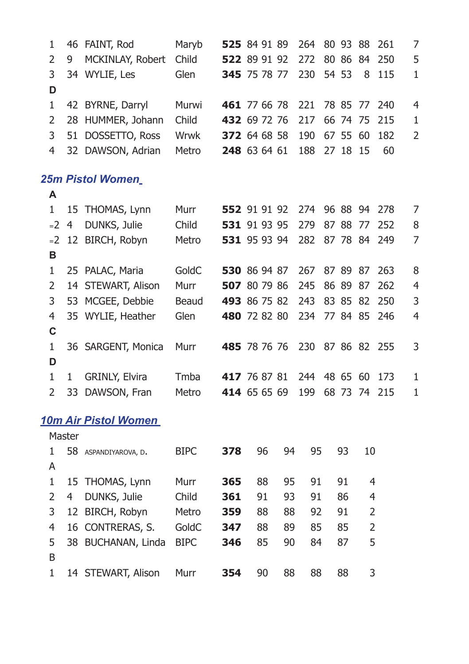| $\mathbf 1$                   |        | 46 FAINT, Rod           | Maryb       |     | 525 84 91 89 |    | 264              | 80 93    | 88          | 261          | 7              |
|-------------------------------|--------|-------------------------|-------------|-----|--------------|----|------------------|----------|-------------|--------------|----------------|
| 2                             | 9      | MCKINLAY, Robert        | Child       |     | 522 89 91 92 |    | 272              | 80 86 84 |             | 250          | 5              |
| 3                             |        | 34 WYLIE, Les           | Glen        |     | 345 75 78 77 |    | 230              | 54 53    | 8           | 115          | 1              |
| D                             |        |                         |             |     |              |    |                  |          |             |              |                |
| $\mathbf{1}$                  |        | 42 BYRNE, Darryl        | Murwi       |     | 461 77 66 78 |    | 221              | 78 85    | 77          | 240          | $\overline{4}$ |
| $\overline{2}$                |        | 28 HUMMER, Johann       | Child       |     | 432 69 72 76 |    | 217              | 66 74    | 75          | 215          | 1              |
| 3                             |        | 51 DOSSETTO, Ross       | Wrwk        |     | 372 64 68 58 |    | 190              | 67 55    | 60          | 182          | $\overline{2}$ |
| $\overline{4}$                |        | 32 DAWSON, Adrian       | Metro       |     | 248 63 64 61 |    | 188              | 27 18    | 15          | 60           |                |
|                               |        | <b>25m Pistol Women</b> |             |     |              |    |                  |          |             |              |                |
| Α                             |        |                         |             |     |              |    |                  |          |             |              |                |
| $\mathbf{1}$                  |        | 15 THOMAS, Lynn         | Murr        |     | 552 91 91 92 |    | 274 96 88 94 278 |          |             |              | 7              |
| $-2$                          | 4      | DUNKS, Julie            | Child       |     | 531 91 93 95 |    | 279              | 87 88    | 77          | 252          | 8              |
| $-2$                          |        | 12 BIRCH, Robyn         | Metro       |     | 531 95 93 94 |    | 282              |          | 87 78 84    | 249          | 7              |
| в                             |        |                         |             |     |              |    |                  |          |             |              |                |
| $\mathbf{1}$                  |        | 25 PALAC, Maria         | GoldC       |     | 530 86 94 87 |    | 267              | 87 89 87 |             | 263          | 8              |
| 2                             |        | 14 STEWART, Alison      | Murr        |     | 507 80 79 86 |    | 245              | 86 89 87 |             | 262          | $\overline{4}$ |
| 3                             |        | 53 MCGEE, Debbie        | Beaud       |     | 493 86 75 82 |    | 243              | 83 85 82 |             | 250          | 3              |
| $\overline{4}$<br>$\mathbf c$ |        | 35 WYLIE, Heather       | Glen        |     | 480 72 82 80 |    | 234              | 77 84 85 |             | 246          | $\overline{4}$ |
| 1                             |        | 36 SARGENT, Monica      | Murr        |     | 485 78 76 76 |    | 230              | 87 86 82 |             | 255          | 3              |
| D                             |        |                         |             |     |              |    |                  |          |             |              |                |
| $1\,$                         | 1      | GRINLY, Elvira          | Tmba        |     | 417 76 87 81 |    | 244              | 48 65 60 |             | 173          | $\mathbf{1}$   |
| 2                             |        | 33 DAWSON, Fran         | Metro       |     | 414 65 65 69 |    | 199              |          |             | 68 73 74 215 | 1              |
|                               |        | 10m Air Pistol Women    |             |     |              |    |                  |          |             |              |                |
|                               | Master |                         |             |     |              |    |                  |          |             |              |                |
| 1                             |        | 58 ASPANDIYAROVA, D.    | <b>BIPC</b> | 378 | 96           | 94 | 95               | 93       | 10          |              |                |
| Α                             |        |                         |             |     |              |    |                  |          |             |              |                |
| $\mathbf{1}$                  |        | 15 THOMAS, Lynn         | Murr        | 365 | 88           | 95 | 91               | 91       | 4           |              |                |
| 2                             | 4      | DUNKS, Julie            | Child       | 361 | 91           | 93 | 91               | 86       | 4           |              |                |
| 3                             |        | 12 BIRCH, Robyn         | Metro       | 359 | 88           | 88 | 92               | 91       | 2           |              |                |
| $\overline{4}$                |        | 16 CONTRERAS, S.        | GoldC       | 347 | 88           | 89 | 85               | 85       | $\mathbf 2$ |              |                |
| 5                             |        | 38 BUCHANAN, Linda      | <b>BIPC</b> | 346 | 85           | 90 | 84               | 87       | 5           |              |                |
| B                             |        |                         |             |     |              |    |                  |          |             |              |                |
| 1                             |        | 14 STEWART, Alison      | Murr        | 354 | 90           | 88 | 88               | 88       | 3           |              |                |